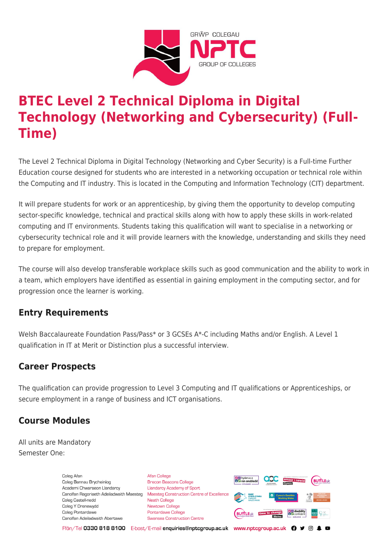

# **BTEC Level 2 Technical Diploma in Digital Technology (Networking and Cybersecurity) (Full-Time)**

The Level 2 Technical Diploma in Digital Technology (Networking and Cyber Security) is a Full-time Further Education course designed for students who are interested in a networking occupation or technical role within the Computing and IT industry. This is located in the Computing and Information Technology (CIT) department.

It will prepare students for work or an apprenticeship, by giving them the opportunity to develop computing sector-specific knowledge, technical and practical skills along with how to apply these skills in work-related computing and IT environments. Students taking this qualification will want to specialise in a networking or cybersecurity technical role and it will provide learners with the knowledge, understanding and skills they need to prepare for employment.

The course will also develop transferable workplace skills such as good communication and the ability to work in a team, which employers have identified as essential in gaining employment in the computing sector, and for progression once the learner is working.

# **Entry Requirements**

Welsh Baccalaureate Foundation Pass/Pass\* or 3 GCSEs A\*-C including Maths and/or English. A Level 1 qualification in IT at Merit or Distinction plus a successful interview.

# **Career Prospects**

The qualification can provide progression to Level 3 Computing and IT qualifications or Apprenticeships, or secure employment in a range of business and ICT organisations.

# **Course Modules**

All units are Mandatory Semester One:

> Coleg Afar Coleg Bannau Brycheiniog Academi Chwaraeon Llandarcy Coleg Castell-nedd Coleg Y Drenewydd Coleg Pontardawe Canolfan Adeiladwaith Abertawe

**Afan College** Brecon Beacons College **Llandarcy Academy of Sport** Canolfan Ragoriaeth Adeiladwaith Maesteg Maesteg Construction Centre of Excellence Neath College Newtown College Pontardawe College Swansea Construction Centre



Ffôn/Tel 0330 818 8100 E-bost/E-mail enquiries@nptcgroup.ac.uk www.nptcgroup.ac.uk ? • © \$